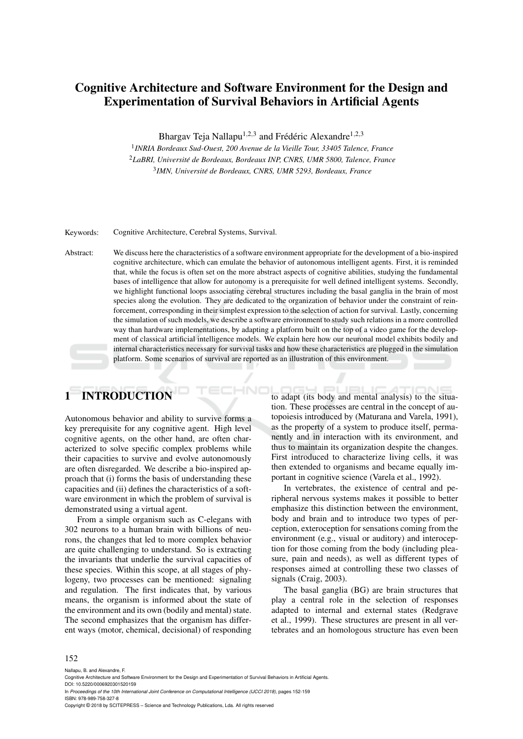# Cognitive Architecture and Software Environment for the Design and Experimentation of Survival Behaviors in Artificial Agents

Bhargav Teja Nallapu<sup>1,2,3</sup> and Frédéric Alexandre<sup>1,2,3</sup>

1 *INRIA Bordeaux Sud-Ouest, 200 Avenue de la Vieille Tour, 33405 Talence, France* <sup>2</sup>*LaBRI, Universite de Bordeaux, Bordeaux INP, CNRS, UMR 5800, Talence, France ´* 3 *IMN, Universite de Bordeaux, CNRS, UMR 5293, Bordeaux, France ´*

Keywords: Cognitive Architecture, Cerebral Systems, Survival.

Abstract: We discuss here the characteristics of a software environment appropriate for the development of a bio-inspired cognitive architecture, which can emulate the behavior of autonomous intelligent agents. First, it is reminded that, while the focus is often set on the more abstract aspects of cognitive abilities, studying the fundamental bases of intelligence that allow for autonomy is a prerequisite for well defined intelligent systems. Secondly, we highlight functional loops associating cerebral structures including the basal ganglia in the brain of most species along the evolution. They are dedicated to the organization of behavior under the constraint of reinforcement, corresponding in their simplest expression to the selection of action for survival. Lastly, concerning the simulation of such models, we describe a software environment to study such relations in a more controlled way than hardware implementations, by adapting a platform built on the top of a video game for the development of classical artificial intelligence models. We explain here how our neuronal model exhibits bodily and internal characteristics necessary for survival tasks and how these characteristics are plugged in the simulation platform. Some scenarios of survival are reported as an illustration of this environment.

# 1 INTRODUCTION

Autonomous behavior and ability to survive forms a key prerequisite for any cognitive agent. High level cognitive agents, on the other hand, are often characterized to solve specific complex problems while their capacities to survive and evolve autonomously are often disregarded. We describe a bio-inspired approach that (i) forms the basis of understanding these capacities and (ii) defines the characteristics of a software environment in which the problem of survival is demonstrated using a virtual agent.

From a simple organism such as C-elegans with 302 neurons to a human brain with billions of neurons, the changes that led to more complex behavior are quite challenging to understand. So is extracting the invariants that underlie the survival capacities of these species. Within this scope, at all stages of phylogeny, two processes can be mentioned: signaling and regulation. The first indicates that, by various means, the organism is informed about the state of the environment and its own (bodily and mental) state. The second emphasizes that the organism has different ways (motor, chemical, decisional) of responding

to adapt (its body and mental analysis) to the situation. These processes are central in the concept of autopoiesis introduced by (Maturana and Varela, 1991), as the property of a system to produce itself, permanently and in interaction with its environment, and thus to maintain its organization despite the changes. First introduced to characterize living cells, it was then extended to organisms and became equally important in cognitive science (Varela et al., 1992).

In vertebrates, the existence of central and peripheral nervous systems makes it possible to better emphasize this distinction between the environment, body and brain and to introduce two types of perception, exteroception for sensations coming from the environment (e.g., visual or auditory) and interoception for those coming from the body (including pleasure, pain and needs), as well as different types of responses aimed at controlling these two classes of signals (Craig, 2003).

The basal ganglia (BG) are brain structures that play a central role in the selection of responses adapted to internal and external states (Redgrave et al., 1999). These structures are present in all vertebrates and an homologous structure has even been

#### 152

Nallapu, B. and Alexandre, F.

are Environment for the Design and Experimentation of Survival Behaviors in Artificial Agents

DOI: 10.5220/0006920301520159 In *Proceedings of the 10th International Joint Conference on Computational Intelligence (IJCCI 2018)*, pages 152-159 ISBN: 978-989-758-327-8

Copyright © 2018 by SCITEPRESS – Science and Technology Publications, Lda. All rights reserved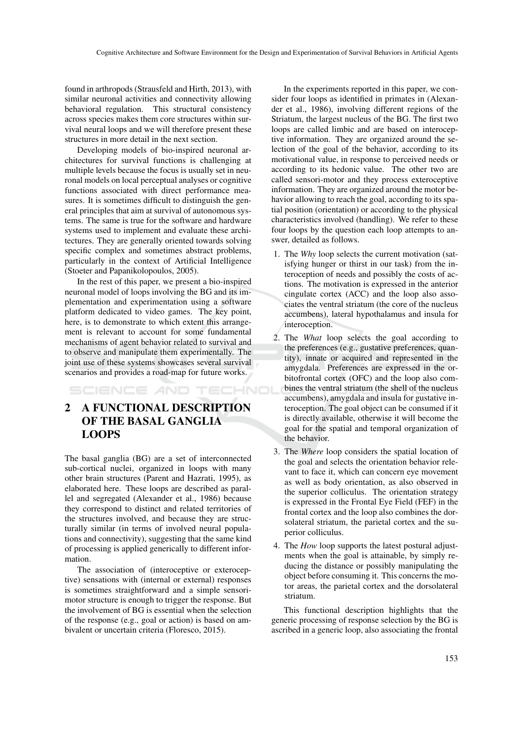found in arthropods (Strausfeld and Hirth, 2013), with similar neuronal activities and connectivity allowing behavioral regulation. This structural consistency across species makes them core structures within survival neural loops and we will therefore present these structures in more detail in the next section.

Developing models of bio-inspired neuronal architectures for survival functions is challenging at multiple levels because the focus is usually set in neuronal models on local perceptual analyses or cognitive functions associated with direct performance measures. It is sometimes difficult to distinguish the general principles that aim at survival of autonomous systems. The same is true for the software and hardware systems used to implement and evaluate these architectures. They are generally oriented towards solving specific complex and sometimes abstract problems, particularly in the context of Artificial Intelligence (Stoeter and Papanikolopoulos, 2005).

In the rest of this paper, we present a bio-inspired neuronal model of loops involving the BG and its implementation and experimentation using a software platform dedicated to video games. The key point, here, is to demonstrate to which extent this arrangement is relevant to account for some fundamental mechanisms of agent behavior related to survival and to observe and manipulate them experimentally. The joint use of these systems showcases several survival scenarios and provides a road-map for future works.

SCIENCE AND TECHNOL

# 2 A FUNCTIONAL DESCRIPTION OF THE BASAL GANGLIA LOOPS

The basal ganglia (BG) are a set of interconnected sub-cortical nuclei, organized in loops with many other brain structures (Parent and Hazrati, 1995), as elaborated here. These loops are described as parallel and segregated (Alexander et al., 1986) because they correspond to distinct and related territories of the structures involved, and because they are structurally similar (in terms of involved neural populations and connectivity), suggesting that the same kind of processing is applied generically to different information.

The association of (interoceptive or exteroceptive) sensations with (internal or external) responses is sometimes straightforward and a simple sensorimotor structure is enough to trigger the response. But the involvement of BG is essential when the selection of the response (e.g., goal or action) is based on ambivalent or uncertain criteria (Floresco, 2015).

In the experiments reported in this paper, we consider four loops as identified in primates in (Alexander et al., 1986), involving different regions of the Striatum, the largest nucleus of the BG. The first two loops are called limbic and are based on interoceptive information. They are organized around the selection of the goal of the behavior, according to its motivational value, in response to perceived needs or according to its hedonic value. The other two are called sensori-motor and they process exteroceptive information. They are organized around the motor behavior allowing to reach the goal, according to its spatial position (orientation) or according to the physical characteristics involved (handling). We refer to these four loops by the question each loop attempts to answer, detailed as follows.

- 1. The *Why* loop selects the current motivation (satisfying hunger or thirst in our task) from the interoception of needs and possibly the costs of actions. The motivation is expressed in the anterior cingulate cortex (ACC) and the loop also associates the ventral striatum (the core of the nucleus accumbens), lateral hypothalamus and insula for interoception.
- 2. The *What* loop selects the goal according to the preferences (e.g., gustative preferences, quantity), innate or acquired and represented in the amygdala. Preferences are expressed in the orbitofrontal cortex (OFC) and the loop also combines the ventral striatum (the shell of the nucleus accumbens), amygdala and insula for gustative interoception. The goal object can be consumed if it is directly available, otherwise it will become the goal for the spatial and temporal organization of the behavior.
- 3. The *Where* loop considers the spatial location of the goal and selects the orientation behavior relevant to face it, which can concern eye movement as well as body orientation, as also observed in the superior colliculus. The orientation strategy is expressed in the Frontal Eye Field (FEF) in the frontal cortex and the loop also combines the dorsolateral striatum, the parietal cortex and the superior colliculus.
- 4. The *How* loop supports the latest postural adjustments when the goal is attainable, by simply reducing the distance or possibly manipulating the object before consuming it. This concerns the motor areas, the parietal cortex and the dorsolateral striatum.

This functional description highlights that the generic processing of response selection by the BG is ascribed in a generic loop, also associating the frontal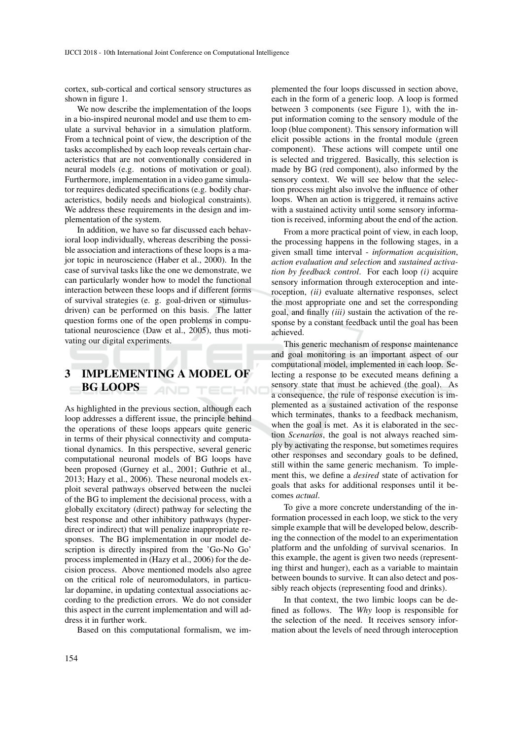cortex, sub-cortical and cortical sensory structures as shown in figure 1.

We now describe the implementation of the loops in a bio-inspired neuronal model and use them to emulate a survival behavior in a simulation platform. From a technical point of view, the description of the tasks accomplished by each loop reveals certain characteristics that are not conventionally considered in neural models (e.g. notions of motivation or goal). Furthermore, implementation in a video game simulator requires dedicated specifications (e.g. bodily characteristics, bodily needs and biological constraints). We address these requirements in the design and implementation of the system.

In addition, we have so far discussed each behavioral loop individually, whereas describing the possible association and interactions of these loops is a major topic in neuroscience (Haber et al., 2000). In the case of survival tasks like the one we demonstrate, we can particularly wonder how to model the functional interaction between these loops and if different forms of survival strategies (e. g. goal-driven or stimulusdriven) can be performed on this basis. The latter question forms one of the open problems in computational neuroscience (Daw et al., 2005), thus motivating our digital experiments.

#### 3 IMPLEMENTING A MODEL OF BG LOOPS **AND TECHNO**

As highlighted in the previous section, although each loop addresses a different issue, the principle behind the operations of these loops appears quite generic in terms of their physical connectivity and computational dynamics. In this perspective, several generic computational neuronal models of BG loops have been proposed (Gurney et al., 2001; Guthrie et al., 2013; Hazy et al., 2006). These neuronal models exploit several pathways observed between the nuclei of the BG to implement the decisional process, with a globally excitatory (direct) pathway for selecting the best response and other inhibitory pathways (hyperdirect or indirect) that will penalize inappropriate responses. The BG implementation in our model description is directly inspired from the 'Go-No Go' process implemented in (Hazy et al., 2006) for the decision process. Above mentioned models also agree on the critical role of neuromodulators, in particular dopamine, in updating contextual associations according to the prediction errors. We do not consider this aspect in the current implementation and will address it in further work.

Based on this computational formalism, we im-

plemented the four loops discussed in section above, each in the form of a generic loop. A loop is formed between 3 components (see Figure 1), with the input information coming to the sensory module of the loop (blue component). This sensory information will elicit possible actions in the frontal module (green component). These actions will compete until one is selected and triggered. Basically, this selection is made by BG (red component), also informed by the sensory context. We will see below that the selection process might also involve the influence of other loops. When an action is triggered, it remains active with a sustained activity until some sensory information is received, informing about the end of the action.

From a more practical point of view, in each loop, the processing happens in the following stages, in a given small time interval - *information acquisition*, *action evaluation and selection* and *sustained activation by feedback control*. For each loop *(i)* acquire sensory information through exteroception and interoception, *(ii)* evaluate alternative responses, select the most appropriate one and set the corresponding goal, and finally *(iii)* sustain the activation of the response by a constant feedback until the goal has been achieved.

This generic mechanism of response maintenance and goal monitoring is an important aspect of our computational model, implemented in each loop. Selecting a response to be executed means defining a sensory state that must be achieved (the goal). As a consequence, the rule of response execution is implemented as a sustained activation of the response which terminates, thanks to a feedback mechanism, when the goal is met. As it is elaborated in the section *Scenarios*, the goal is not always reached simply by activating the response, but sometimes requires other responses and secondary goals to be defined, still within the same generic mechanism. To implement this, we define a *desired* state of activation for goals that asks for additional responses until it becomes *actual*.

To give a more concrete understanding of the information processed in each loop, we stick to the very simple example that will be developed below, describing the connection of the model to an experimentation platform and the unfolding of survival scenarios. In this example, the agent is given two needs (representing thirst and hunger), each as a variable to maintain between bounds to survive. It can also detect and possibly reach objects (representing food and drinks).

In that context, the two limbic loops can be defined as follows. The *Why* loop is responsible for the selection of the need. It receives sensory information about the levels of need through interoception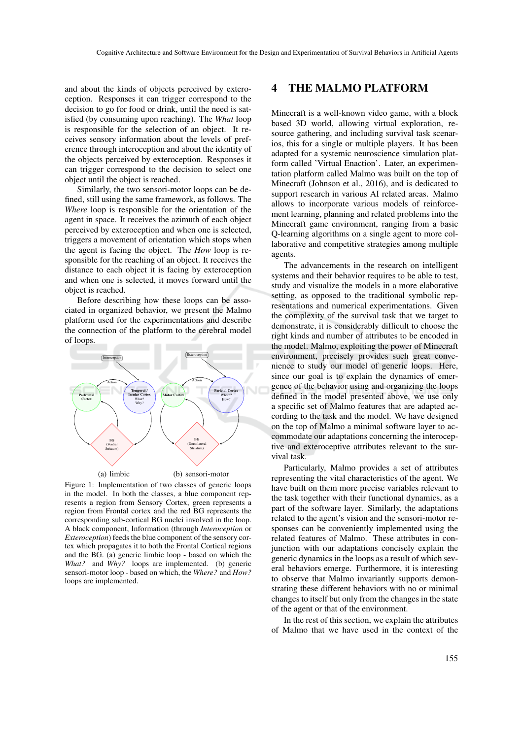and about the kinds of objects perceived by exteroception. Responses it can trigger correspond to the decision to go for food or drink, until the need is satisfied (by consuming upon reaching). The *What* loop is responsible for the selection of an object. It receives sensory information about the levels of preference through interoception and about the identity of the objects perceived by exteroception. Responses it can trigger correspond to the decision to select one object until the object is reached.

Similarly, the two sensori-motor loops can be defined, still using the same framework, as follows. The *Where* loop is responsible for the orientation of the agent in space. It receives the azimuth of each object perceived by exteroception and when one is selected, triggers a movement of orientation which stops when the agent is facing the object. The *How* loop is responsible for the reaching of an object. It receives the distance to each object it is facing by exteroception and when one is selected, it moves forward until the object is reached.

Before describing how these loops can be associated in organized behavior, we present the Malmo platform used for the experimentations and describe the connection of the platform to the cerebral model of loops.



Figure 1: Implementation of two classes of generic loops in the model. In both the classes, a blue component represents a region from Sensory Cortex, green represents a region from Frontal cortex and the red BG represents the corresponding sub-cortical BG nuclei involved in the loop. A black component, Information (through *Interoception* or *Exteroception*) feeds the blue component of the sensory cortex which propagates it to both the Frontal Cortical regions and the BG. (a) generic limbic loop - based on which the *What?* and *Why?* loops are implemented. (b) generic sensori-motor loop - based on which, the *Where?* and *How?* loops are implemented.

# 4 THE MALMO PLATFORM

Minecraft is a well-known video game, with a block based 3D world, allowing virtual exploration, resource gathering, and including survival task scenarios, this for a single or multiple players. It has been adapted for a systemic neuroscience simulation platform called 'Virtual Enaction'. Later, an experimentation platform called Malmo was built on the top of Minecraft (Johnson et al., 2016), and is dedicated to support research in various AI related areas. Malmo allows to incorporate various models of reinforcement learning, planning and related problems into the Minecraft game environment, ranging from a basic Q-learning algorithms on a single agent to more collaborative and competitive strategies among multiple agents.

The advancements in the research on intelligent systems and their behavior requires to be able to test, study and visualize the models in a more elaborative setting, as opposed to the traditional symbolic representations and numerical experimentations. Given the complexity of the survival task that we target to demonstrate, it is considerably difficult to choose the right kinds and number of attributes to be encoded in the model. Malmo, exploiting the power of Minecraft environment, precisely provides such great convenience to study our model of generic loops. Here, since our goal is to explain the dynamics of emergence of the behavior using and organizing the loops defined in the model presented above, we use only a specific set of Malmo features that are adapted according to the task and the model. We have designed on the top of Malmo a minimal software layer to accommodate our adaptations concerning the interoceptive and exteroceptive attributes relevant to the survival task.

Particularly, Malmo provides a set of attributes representing the vital characteristics of the agent. We have built on them more precise variables relevant to the task together with their functional dynamics, as a part of the software layer. Similarly, the adaptations related to the agent's vision and the sensori-motor responses can be conveniently implemented using the related features of Malmo. These attributes in conjunction with our adaptations concisely explain the generic dynamics in the loops as a result of which several behaviors emerge. Furthermore, it is interesting to observe that Malmo invariantly supports demonstrating these different behaviors with no or minimal changes to itself but only from the changes in the state of the agent or that of the environment.

In the rest of this section, we explain the attributes of Malmo that we have used in the context of the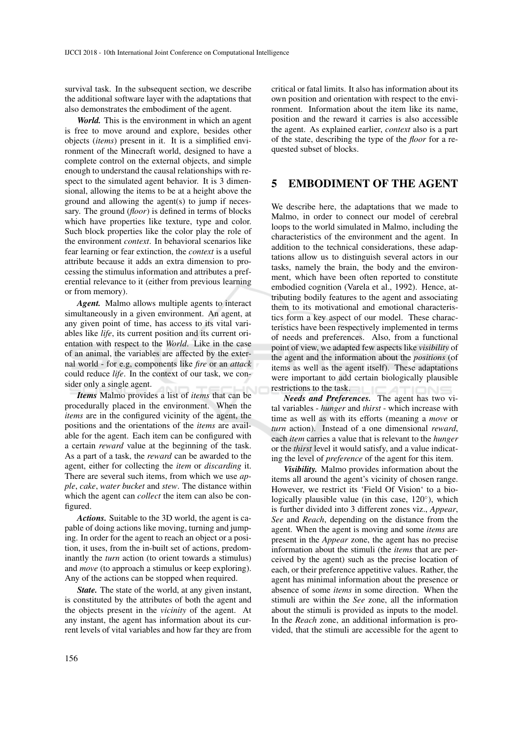survival task. In the subsequent section, we describe the additional software layer with the adaptations that also demonstrates the embodiment of the agent.

*World.* This is the environment in which an agent is free to move around and explore, besides other objects (*items*) present in it. It is a simplified environment of the Minecraft world, designed to have a complete control on the external objects, and simple enough to understand the causal relationships with respect to the simulated agent behavior. It is 3 dimensional, allowing the items to be at a height above the ground and allowing the agent(s) to jump if necessary. The ground (*floor*) is defined in terms of blocks which have properties like texture, type and color. Such block properties like the color play the role of the environment *context*. In behavioral scenarios like fear learning or fear extinction, the *context* is a useful attribute because it adds an extra dimension to processing the stimulus information and attributes a preferential relevance to it (either from previous learning or from memory).

*Agent.* Malmo allows multiple agents to interact simultaneously in a given environment. An agent, at any given point of time, has access to its vital variables like *life*, its current position and its current orientation with respect to the *World*. Like in the case of an animal, the variables are affected by the external world - for e.g, components like *fire* or an *attack* could reduce *life*. In the context of our task, we consider only a single agent.

*Items* Malmo provides a list of *items* that can be procedurally placed in the environment. When the *items* are in the configured vicinity of the agent, the positions and the orientations of the *items* are available for the agent. Each item can be configured with a certain *reward* value at the beginning of the task. As a part of a task, the *reward* can be awarded to the agent, either for collecting the *item* or *discarding* it. There are several such items, from which we use *apple*, *cake*, *water bucket* and *stew*. The distance within which the agent can *collect* the item can also be configured.

*Actions.* Suitable to the 3D world, the agent is capable of doing actions like moving, turning and jumping. In order for the agent to reach an object or a position, it uses, from the in-built set of actions, predominantly the *turn* action (to orient towards a stimulus) and *move* (to approach a stimulus or keep exploring). Any of the actions can be stopped when required.

*State.* The state of the world, at any given instant, is constituted by the attributes of both the agent and the objects present in the *vicinity* of the agent. At any instant, the agent has information about its current levels of vital variables and how far they are from critical or fatal limits. It also has information about its own position and orientation with respect to the environment. Information about the item like its name, position and the reward it carries is also accessible the agent. As explained earlier, *context* also is a part of the state, describing the type of the *floor* for a requested subset of blocks.

# 5 EMBODIMENT OF THE AGENT

We describe here, the adaptations that we made to Malmo, in order to connect our model of cerebral loops to the world simulated in Malmo, including the characteristics of the environment and the agent. In addition to the technical considerations, these adaptations allow us to distinguish several actors in our tasks, namely the brain, the body and the environment, which have been often reported to constitute embodied cognition (Varela et al., 1992). Hence, attributing bodily features to the agent and associating them to its motivational and emotional characteristics form a key aspect of our model. These characteristics have been respectively implemented in terms of needs and preferences. Also, from a functional point of view, we adapted few aspects like *visibility* of the agent and the information about the *positions* (of items as well as the agent itself). These adaptations were important to add certain biologically plausible restrictions to the task.

*Needs and Preferences.* The agent has two vital variables - *hunger* and *thirst* - which increase with time as well as with its efforts (meaning a *move* or *turn* action). Instead of a one dimensional *reward*, each *item* carries a value that is relevant to the *hunger* or the *thirst* level it would satisfy, and a value indicating the level of *preference* of the agent for this item.

*Visibility.* Malmo provides information about the items all around the agent's vicinity of chosen range. However, we restrict its 'Field Of Vision' to a biologically plausible value (in this case, 120°), which is further divided into 3 different zones viz., *Appear*, *See* and *Reach*, depending on the distance from the agent. When the agent is moving and some *items* are present in the *Appear* zone, the agent has no precise information about the stimuli (the *items* that are perceived by the agent) such as the precise location of each, or their preference appetitive values. Rather, the agent has minimal information about the presence or absence of some *items* in some direction. When the stimuli are within the *See* zone, all the information about the stimuli is provided as inputs to the model. In the *Reach* zone, an additional information is provided, that the stimuli are accessible for the agent to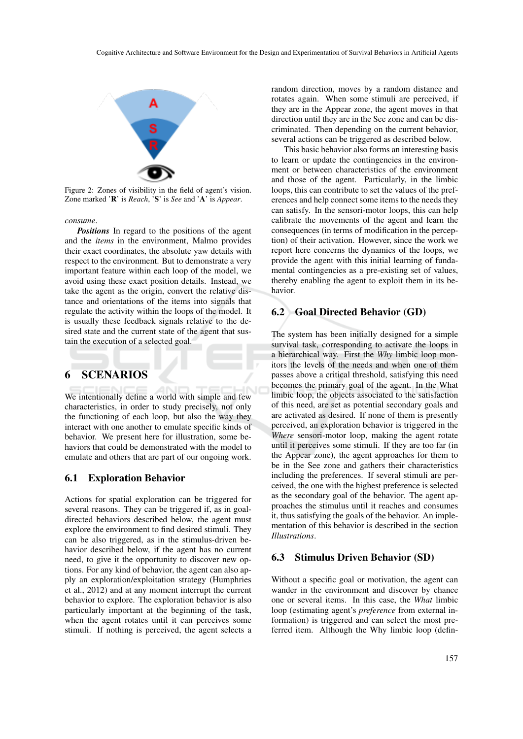

Figure 2: Zones of visibility in the field of agent's vision. Zone marked 'R' is *Reach*, 'S' is *See* and 'A' is *Appear*.

*consume*.

*Positions* In regard to the positions of the agent and the *items* in the environment, Malmo provides their exact coordinates, the absolute yaw details with respect to the environment. But to demonstrate a very important feature within each loop of the model, we avoid using these exact position details. Instead, we take the agent as the origin, convert the relative distance and orientations of the items into signals that regulate the activity within the loops of the model. It is usually these feedback signals relative to the desired state and the current state of the agent that sustain the execution of a selected goal.

# 6 SCENARIOS

We intentionally define a world with simple and few characteristics, in order to study precisely, not only the functioning of each loop, but also the way they interact with one another to emulate specific kinds of behavior. We present here for illustration, some behaviors that could be demonstrated with the model to emulate and others that are part of our ongoing work.

#### 6.1 Exploration Behavior

Actions for spatial exploration can be triggered for several reasons. They can be triggered if, as in goaldirected behaviors described below, the agent must explore the environment to find desired stimuli. They can be also triggered, as in the stimulus-driven behavior described below, if the agent has no current need, to give it the opportunity to discover new options. For any kind of behavior, the agent can also apply an exploration/exploitation strategy (Humphries et al., 2012) and at any moment interrupt the current behavior to explore. The exploration behavior is also particularly important at the beginning of the task, when the agent rotates until it can perceives some stimuli. If nothing is perceived, the agent selects a random direction, moves by a random distance and rotates again. When some stimuli are perceived, if they are in the Appear zone, the agent moves in that direction until they are in the See zone and can be discriminated. Then depending on the current behavior, several actions can be triggered as described below.

This basic behavior also forms an interesting basis to learn or update the contingencies in the environment or between characteristics of the environment and those of the agent. Particularly, in the limbic loops, this can contribute to set the values of the preferences and help connect some items to the needs they can satisfy. In the sensori-motor loops, this can help calibrate the movements of the agent and learn the consequences (in terms of modification in the perception) of their activation. However, since the work we report here concerns the dynamics of the loops, we provide the agent with this initial learning of fundamental contingencies as a pre-existing set of values, thereby enabling the agent to exploit them in its behavior.

#### 6.2 Goal Directed Behavior (GD)

The system has been initially designed for a simple survival task, corresponding to activate the loops in a hierarchical way. First the *Why* limbic loop monitors the levels of the needs and when one of them passes above a critical threshold, satisfying this need becomes the primary goal of the agent. In the What limbic loop, the objects associated to the satisfaction of this need, are set as potential secondary goals and are activated as desired. If none of them is presently perceived, an exploration behavior is triggered in the *Where* sensori-motor loop, making the agent rotate until it perceives some stimuli. If they are too far (in the Appear zone), the agent approaches for them to be in the See zone and gathers their characteristics including the preferences. If several stimuli are perceived, the one with the highest preference is selected as the secondary goal of the behavior. The agent approaches the stimulus until it reaches and consumes it, thus satisfying the goals of the behavior. An implementation of this behavior is described in the section *Illustrations*.

#### 6.3 Stimulus Driven Behavior (SD)

Without a specific goal or motivation, the agent can wander in the environment and discover by chance one or several items. In this case, the *What* limbic loop (estimating agent's *preference* from external information) is triggered and can select the most preferred item. Although the Why limbic loop (defin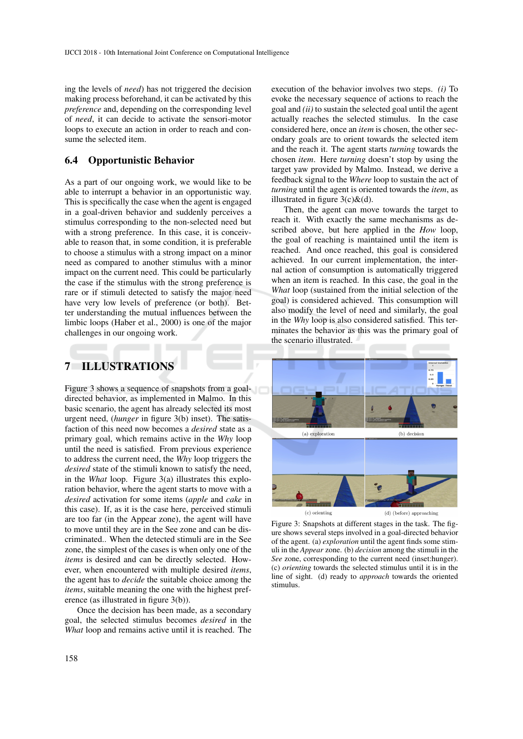ing the levels of *need*) has not triggered the decision making process beforehand, it can be activated by this *preference* and, depending on the corresponding level of *need*, it can decide to activate the sensori-motor loops to execute an action in order to reach and consume the selected item.

## 6.4 Opportunistic Behavior

As a part of our ongoing work, we would like to be able to interrupt a behavior in an opportunistic way. This is specifically the case when the agent is engaged in a goal-driven behavior and suddenly perceives a stimulus corresponding to the non-selected need but with a strong preference. In this case, it is conceivable to reason that, in some condition, it is preferable to choose a stimulus with a strong impact on a minor need as compared to another stimulus with a minor impact on the current need. This could be particularly the case if the stimulus with the strong preference is rare or if stimuli detected to satisfy the major need have very low levels of preference (or both). Better understanding the mutual influences between the limbic loops (Haber et al., 2000) is one of the major challenges in our ongoing work.

# 7 ILLUSTRATIONS

Figure 3 shows a sequence of snapshots from a goaldirected behavior, as implemented in Malmo. In this basic scenario, the agent has already selected its most urgent need, (*hunger* in figure 3(b) inset). The satisfaction of this need now becomes a *desired* state as a primary goal, which remains active in the *Why* loop until the need is satisfied. From previous experience to address the current need, the *Why* loop triggers the *desired* state of the stimuli known to satisfy the need, in the *What* loop. Figure 3(a) illustrates this exploration behavior, where the agent starts to move with a *desired* activation for some items (*apple* and *cake* in this case). If, as it is the case here, perceived stimuli are too far (in the Appear zone), the agent will have to move until they are in the See zone and can be discriminated.. When the detected stimuli are in the See zone, the simplest of the cases is when only one of the *items* is desired and can be directly selected. However, when encountered with multiple desired *items*, the agent has to *decide* the suitable choice among the *items*, suitable meaning the one with the highest preference (as illustrated in figure 3(b)).

Once the decision has been made, as a secondary goal, the selected stimulus becomes *desired* in the *What* loop and remains active until it is reached. The

execution of the behavior involves two steps. *(i)* To evoke the necessary sequence of actions to reach the goal and *(ii)* to sustain the selected goal until the agent actually reaches the selected stimulus. In the case considered here, once an *item* is chosen, the other secondary goals are to orient towards the selected item and the reach it. The agent starts *turning* towards the chosen *item*. Here *turning* doesn't stop by using the target yaw provided by Malmo. Instead, we derive a feedback signal to the *Where* loop to sustain the act of *turning* until the agent is oriented towards the *item*, as illustrated in figure  $3(c)\&(d)$ .

Then, the agent can move towards the target to reach it. With exactly the same mechanisms as described above, but here applied in the *How* loop, the goal of reaching is maintained until the item is reached. And once reached, this goal is considered achieved. In our current implementation, the internal action of consumption is automatically triggered when an item is reached. In this case, the goal in the *What* loop (sustained from the initial selection of the goal) is considered achieved. This consumption will also modify the level of need and similarly, the goal in the *Why* loop is also considered satisfied. This terminates the behavior as this was the primary goal of the scenario illustrated.



Figure 3: Snapshots at different stages in the task. The figure shows several steps involved in a goal-directed behavior of the agent. (a) *exploration* until the agent finds some stimuli in the *Appear* zone. (b) *decision* among the stimuli in the *See* zone, corresponding to the current need (inset:hunger). (c) *orienting* towards the selected stimulus until it is in the line of sight. (d) ready to *approach* towards the oriented stimulus.